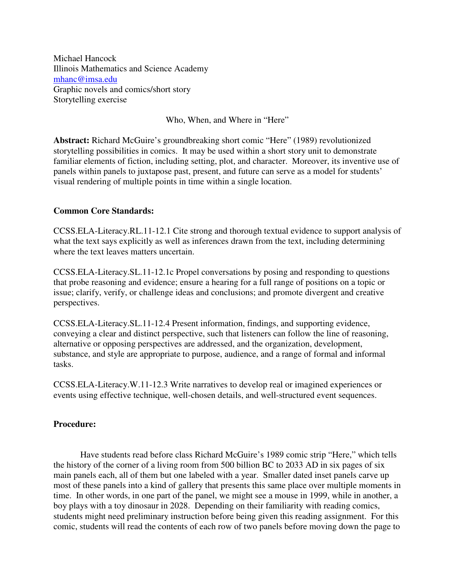Michael Hancock Illinois Mathematics and Science Academy mhanc@imsa.edu Graphic novels and comics/short story Storytelling exercise

Who, When, and Where in "Here"

**Abstract:** Richard McGuire's groundbreaking short comic "Here" (1989) revolutionized storytelling possibilities in comics. It may be used within a short story unit to demonstrate familiar elements of fiction, including setting, plot, and character. Moreover, its inventive use of panels within panels to juxtapose past, present, and future can serve as a model for students' visual rendering of multiple points in time within a single location.

## **Common Core Standards:**

CCSS.ELA-Literacy.RL.11-12.1 Cite strong and thorough textual evidence to support analysis of what the text says explicitly as well as inferences drawn from the text, including determining where the text leaves matters uncertain.

CCSS.ELA-Literacy.SL.11-12.1c Propel conversations by posing and responding to questions that probe reasoning and evidence; ensure a hearing for a full range of positions on a topic or issue; clarify, verify, or challenge ideas and conclusions; and promote divergent and creative perspectives.

CCSS.ELA-Literacy.SL.11-12.4 Present information, findings, and supporting evidence, conveying a clear and distinct perspective, such that listeners can follow the line of reasoning, alternative or opposing perspectives are addressed, and the organization, development, substance, and style are appropriate to purpose, audience, and a range of formal and informal tasks.

CCSS.ELA-Literacy.W.11-12.3 Write narratives to develop real or imagined experiences or events using effective technique, well-chosen details, and well-structured event sequences.

## **Procedure:**

Have students read before class Richard McGuire's 1989 comic strip "Here," which tells the history of the corner of a living room from 500 billion BC to 2033 AD in six pages of six main panels each, all of them but one labeled with a year. Smaller dated inset panels carve up most of these panels into a kind of gallery that presents this same place over multiple moments in time. In other words, in one part of the panel, we might see a mouse in 1999, while in another, a boy plays with a toy dinosaur in 2028. Depending on their familiarity with reading comics, students might need preliminary instruction before being given this reading assignment. For this comic, students will read the contents of each row of two panels before moving down the page to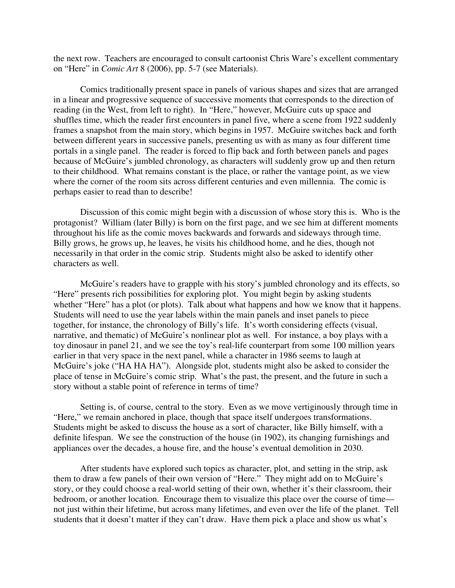the next row. Teachers are encouraged to consult cartoonist Chris Ware's excellent commentary on "Here" in *Comic Art* 8 (2006), pp. 5-7 (see Materials).

 Comics traditionally present space in panels of various shapes and sizes that are arranged in a linear and progressive sequence of successive moments that corresponds to the direction of reading (in the West, from left to right). In "Here," however, McGuire cuts up space and shuffles time, which the reader first encounters in panel five, where a scene from 1922 suddenly frames a snapshot from the main story, which begins in 1957. McGuire switches back and forth between different years in successive panels, presenting us with as many as four different time portals in a single panel. The reader is forced to flip back and forth between panels and pages because of McGuire's jumbled chronology, as characters will suddenly grow up and then return to their childhood. What remains constant is the place, or rather the vantage point, as we view where the corner of the room sits across different centuries and even millennia. The comic is perhaps easier to read than to describe!

 Discussion of this comic might begin with a discussion of whose story this is. Who is the protagonist? William (later Billy) is born on the first page, and we see him at different moments throughout his life as the comic moves backwards and forwards and sideways through time. Billy grows, he grows up, he leaves, he visits his childhood home, and he dies, though not necessarily in that order in the comic strip. Students might also be asked to identify other characters as well.

 McGuire's readers have to grapple with his story's jumbled chronology and its effects, so "Here" presents rich possibilities for exploring plot. You might begin by asking students whether "Here" has a plot (or plots). Talk about what happens and how we know that it happens. Students will need to use the year labels within the main panels and inset panels to piece together, for instance, the chronology of Billy's life. It's worth considering effects (visual, narrative, and thematic) of McGuire's nonlinear plot as well. For instance, a boy plays with a toy dinosaur in panel 21, and we see the toy's real-life counterpart from some 100 million years earlier in that very space in the next panel, while a character in 1986 seems to laugh at McGuire's joke ("HA HA HA"). Alongside plot, students might also be asked to consider the place of tense in McGuire's comic strip. What's the past, the present, and the future in such a story without a stable point of reference in terms of time?

 Setting is, of course, central to the story. Even as we move vertiginously through time in "Here," we remain anchored in place, though that space itself undergoes transformations. Students might be asked to discuss the house as a sort of character, like Billy himself, with a definite lifespan. We see the construction of the house (in 1902), its changing furnishings and appliances over the decades, a house fire, and the house's eventual demolition in 2030.

 After students have explored such topics as character, plot, and setting in the strip, ask them to draw a few panels of their own version of "Here." They might add on to McGuire's story, or they could choose a real-world setting of their own, whether it's their classroom, their bedroom, or another location. Encourage them to visualize this place over the course of time not just within their lifetime, but across many lifetimes, and even over the life of the planet. Tell students that it doesn't matter if they can't draw. Have them pick a place and show us what's